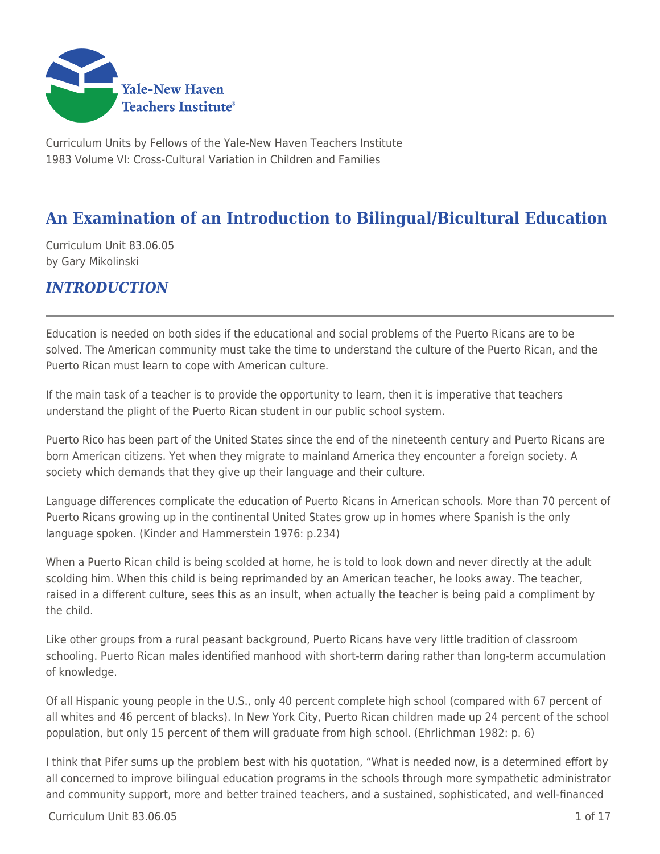

Curriculum Units by Fellows of the Yale-New Haven Teachers Institute 1983 Volume VI: Cross-Cultural Variation in Children and Families

# **An Examination of an Introduction to Bilingual/Bicultural Education**

Curriculum Unit 83.06.05 by Gary Mikolinski

# *INTRODUCTION*

Education is needed on both sides if the educational and social problems of the Puerto Ricans are to be solved. The American community must take the time to understand the culture of the Puerto Rican, and the Puerto Rican must learn to cope with American culture.

If the main task of a teacher is to provide the opportunity to learn, then it is imperative that teachers understand the plight of the Puerto Rican student in our public school system.

Puerto Rico has been part of the United States since the end of the nineteenth century and Puerto Ricans are born American citizens. Yet when they migrate to mainland America they encounter a foreign society. A society which demands that they give up their language and their culture.

Language differences complicate the education of Puerto Ricans in American schools. More than 70 percent of Puerto Ricans growing up in the continental United States grow up in homes where Spanish is the only language spoken. (Kinder and Hammerstein 1976: p.234)

When a Puerto Rican child is being scolded at home, he is told to look down and never directly at the adult scolding him. When this child is being reprimanded by an American teacher, he looks away. The teacher, raised in a different culture, sees this as an insult, when actually the teacher is being paid a compliment by the child.

Like other groups from a rural peasant background, Puerto Ricans have very little tradition of classroom schooling. Puerto Rican males identified manhood with short-term daring rather than long-term accumulation of knowledge.

Of all Hispanic young people in the U.S., only 40 percent complete high school (compared with 67 percent of all whites and 46 percent of blacks). In New York City, Puerto Rican children made up 24 percent of the school population, but only 15 percent of them will graduate from high school. (Ehrlichman 1982: p. 6)

I think that Pifer sums up the problem best with his quotation, "What is needed now, is a determined effort by all concerned to improve bilingual education programs in the schools through more sympathetic administrator and community support, more and better trained teachers, and a sustained, sophisticated, and well-financed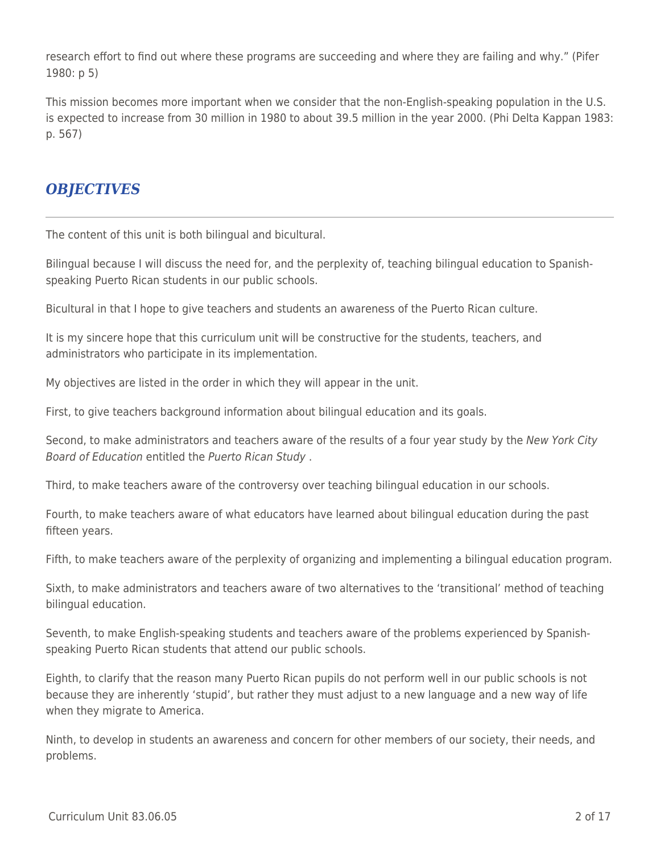research effort to find out where these programs are succeeding and where they are failing and why." (Pifer 1980: p 5)

This mission becomes more important when we consider that the non-English-speaking population in the U.S. is expected to increase from 30 million in 1980 to about 39.5 million in the year 2000. (Phi Delta Kappan 1983: p. 567)

# *OBJECTIVES*

The content of this unit is both bilingual and bicultural.

Bilingual because I will discuss the need for, and the perplexity of, teaching bilingual education to Spanishspeaking Puerto Rican students in our public schools.

Bicultural in that I hope to give teachers and students an awareness of the Puerto Rican culture.

It is my sincere hope that this curriculum unit will be constructive for the students, teachers, and administrators who participate in its implementation.

My objectives are listed in the order in which they will appear in the unit.

First, to give teachers background information about bilingual education and its goals.

Second, to make administrators and teachers aware of the results of a four year study by the New York City Board of Education entitled the Puerto Rican Study .

Third, to make teachers aware of the controversy over teaching bilingual education in our schools.

Fourth, to make teachers aware of what educators have learned about bilingual education during the past fifteen years.

Fifth, to make teachers aware of the perplexity of organizing and implementing a bilingual education program.

Sixth, to make administrators and teachers aware of two alternatives to the 'transitional' method of teaching bilingual education.

Seventh, to make English-speaking students and teachers aware of the problems experienced by Spanishspeaking Puerto Rican students that attend our public schools.

Eighth, to clarify that the reason many Puerto Rican pupils do not perform well in our public schools is not because they are inherently 'stupid', but rather they must adjust to a new language and a new way of life when they migrate to America.

Ninth, to develop in students an awareness and concern for other members of our society, their needs, and problems.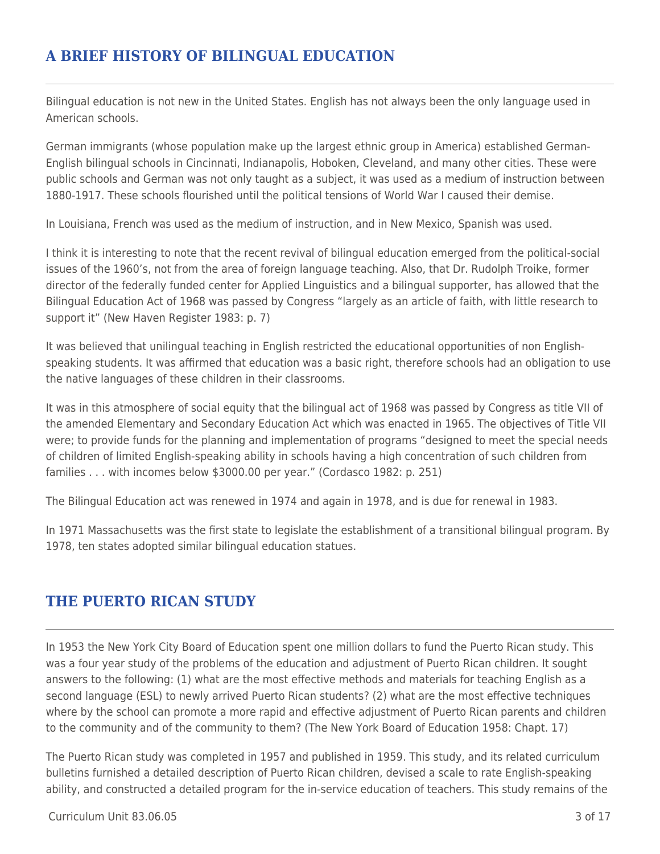# **A BRIEF HISTORY OF BILINGUAL EDUCATION**

Bilingual education is not new in the United States. English has not always been the only language used in American schools.

German immigrants (whose population make up the largest ethnic group in America) established German-English bilingual schools in Cincinnati, Indianapolis, Hoboken, Cleveland, and many other cities. These were public schools and German was not only taught as a subject, it was used as a medium of instruction between 1880-1917. These schools flourished until the political tensions of World War I caused their demise.

In Louisiana, French was used as the medium of instruction, and in New Mexico, Spanish was used.

I think it is interesting to note that the recent revival of bilingual education emerged from the political-social issues of the 1960's, not from the area of foreign language teaching. Also, that Dr. Rudolph Troike, former director of the federally funded center for Applied Linguistics and a bilingual supporter, has allowed that the Bilingual Education Act of 1968 was passed by Congress "largely as an article of faith, with little research to support it" (New Haven Register 1983: p. 7)

It was believed that unilingual teaching in English restricted the educational opportunities of non Englishspeaking students. It was affirmed that education was a basic right, therefore schools had an obligation to use the native languages of these children in their classrooms.

It was in this atmosphere of social equity that the bilingual act of 1968 was passed by Congress as title VII of the amended Elementary and Secondary Education Act which was enacted in 1965. The objectives of Title VII were; to provide funds for the planning and implementation of programs "designed to meet the special needs of children of limited English-speaking ability in schools having a high concentration of such children from families . . . with incomes below \$3000.00 per year." (Cordasco 1982: p. 251)

The Bilingual Education act was renewed in 1974 and again in 1978, and is due for renewal in 1983.

In 1971 Massachusetts was the first state to legislate the establishment of a transitional bilingual program. By 1978, ten states adopted similar bilingual education statues.

## **THE PUERTO RICAN STUDY**

In 1953 the New York City Board of Education spent one million dollars to fund the Puerto Rican study. This was a four year study of the problems of the education and adjustment of Puerto Rican children. It sought answers to the following: (1) what are the most effective methods and materials for teaching English as a second language (ESL) to newly arrived Puerto Rican students? (2) what are the most effective techniques where by the school can promote a more rapid and effective adjustment of Puerto Rican parents and children to the community and of the community to them? (The New York Board of Education 1958: Chapt. 17)

The Puerto Rican study was completed in 1957 and published in 1959. This study, and its related curriculum bulletins furnished a detailed description of Puerto Rican children, devised a scale to rate English-speaking ability, and constructed a detailed program for the in-service education of teachers. This study remains of the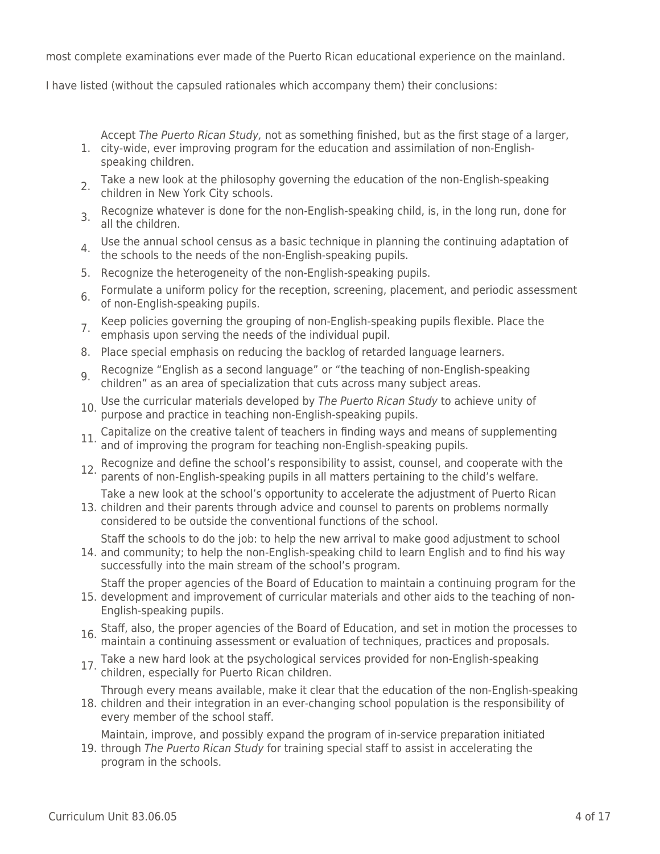most complete examinations ever made of the Puerto Rican educational experience on the mainland.

I have listed (without the capsuled rationales which accompany them) their conclusions:

Accept The Puerto Rican Study, not as something finished, but as the first stage of a larger,

- 1. city-wide, ever improving program for the education and assimilation of non-Englishspeaking children.
- 2. Take a new look at the philosophy governing the education of the non-English-speaking children in New York City schools.
- 3. Recognize whatever is done for the non-English-speaking child, is, in the long run, done for all the children.
- 4. Use the annual school census as a basic technique in planning the continuing adaptation of the schools to the needs of the non-English-speaking pupils.
- 5. Recognize the heterogeneity of the non-English-speaking pupils.
- 6. Formulate a uniform policy for the reception, screening, placement, and periodic assessment of non-English-speaking pupils.
- 7. Keep policies governing the grouping of non-English-speaking pupils flexible. Place the emphasis upon serving the needs of the individual pupil.
- 8. Place special emphasis on reducing the backlog of retarded language learners.
- 9. Recognize "English as a second language" or "the teaching of non-English-speaking children" as an area of specialization that cuts across many subject areas.
- 10. Use the curricular materials developed by The Puerto Rican Study to achieve unity of 10.<br>10. purpose and practice in teaching non-English-speaking pupils.
- 11. Capitalize on the creative talent of teachers in finding ways and means of supplementing<br><sup>11.</sup> and of improving the program for teaching non-English-speaking pupils.
- 12. Recognize and define the school's responsibility to assist, counsel, and cooperate with the<br><sup>12.</sup> parents of non-English-speaking pupils in all matters pertaining to the child's welfare.

13. children and their parents through advice and counsel to parents on problems normally Take a new look at the school's opportunity to accelerate the adjustment of Puerto Rican

considered to be outside the conventional functions of the school.

Staff the schools to do the job: to help the new arrival to make good adjustment to school

14. and community; to help the non-English-speaking child to learn English and to find his way successfully into the main stream of the school's program.

Staff the proper agencies of the Board of Education to maintain a continuing program for the

- 15. development and improvement of curricular materials and other aids to the teaching of non-English-speaking pupils.
- 16. Staff, also, the proper agencies of the Board of Education, and set in motion the processes to<br><sup>16.</sup> maintain a continuing assessment or evaluation of techniques, practices and proposals.
- 17. Take a new hard look at the psychological services provided for non-English-speaking<br>17. children, especially for Puerto Rican children.

Through every means available, make it clear that the education of the non-English-speaking

18. children and their integration in an ever-changing school population is the responsibility of every member of the school staff.

Maintain, improve, and possibly expand the program of in-service preparation initiated

19. through The Puerto Rican Study for training special staff to assist in accelerating the program in the schools.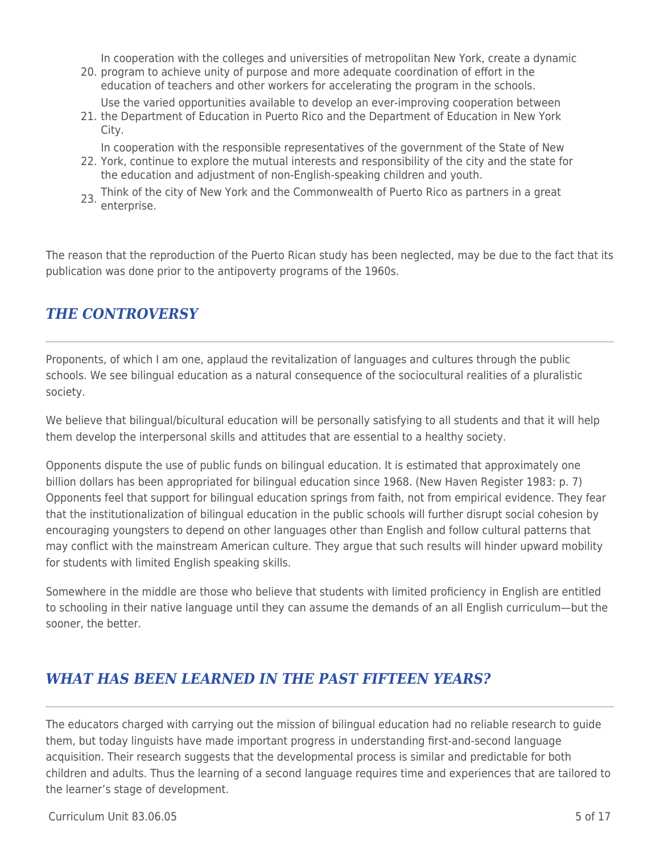In cooperation with the colleges and universities of metropolitan New York, create a dynamic

- 20. program to achieve unity of purpose and more adequate coordination of effort in the education of teachers and other workers for accelerating the program in the schools. Use the varied opportunities available to develop an ever-improving cooperation between
- 21. the Department of Education in Puerto Rico and the Department of Education in New York City.
	- In cooperation with the responsible representatives of the government of the State of New
- 22. York, continue to explore the mutual interests and responsibility of the city and the state for the education and adjustment of non-English-speaking children and youth.
- 23. Think of the city of New York and the Commonwealth of Puerto Rico as partners in a great enterprise.

The reason that the reproduction of the Puerto Rican study has been neglected, may be due to the fact that its publication was done prior to the antipoverty programs of the 1960s.

# *THE CONTROVERSY*

Proponents, of which I am one, applaud the revitalization of languages and cultures through the public schools. We see bilingual education as a natural consequence of the sociocultural realities of a pluralistic society.

We believe that bilingual/bicultural education will be personally satisfying to all students and that it will help them develop the interpersonal skills and attitudes that are essential to a healthy society.

Opponents dispute the use of public funds on bilingual education. It is estimated that approximately one billion dollars has been appropriated for bilingual education since 1968. (New Haven Register 1983: p. 7) Opponents feel that support for bilingual education springs from faith, not from empirical evidence. They fear that the institutionalization of bilingual education in the public schools will further disrupt social cohesion by encouraging youngsters to depend on other languages other than English and follow cultural patterns that may conflict with the mainstream American culture. They argue that such results will hinder upward mobility for students with limited English speaking skills.

Somewhere in the middle are those who believe that students with limited proficiency in English are entitled to schooling in their native language until they can assume the demands of an all English curriculum—but the sooner, the better.

## *WHAT HAS BEEN LEARNED IN THE PAST FIFTEEN YEARS?*

The educators charged with carrying out the mission of bilingual education had no reliable research to guide them, but today linguists have made important progress in understanding first-and-second language acquisition. Their research suggests that the developmental process is similar and predictable for both children and adults. Thus the learning of a second language requires time and experiences that are tailored to the learner's stage of development.

 $Curriculum$  Unit  $83.06.05$   $5$  of 17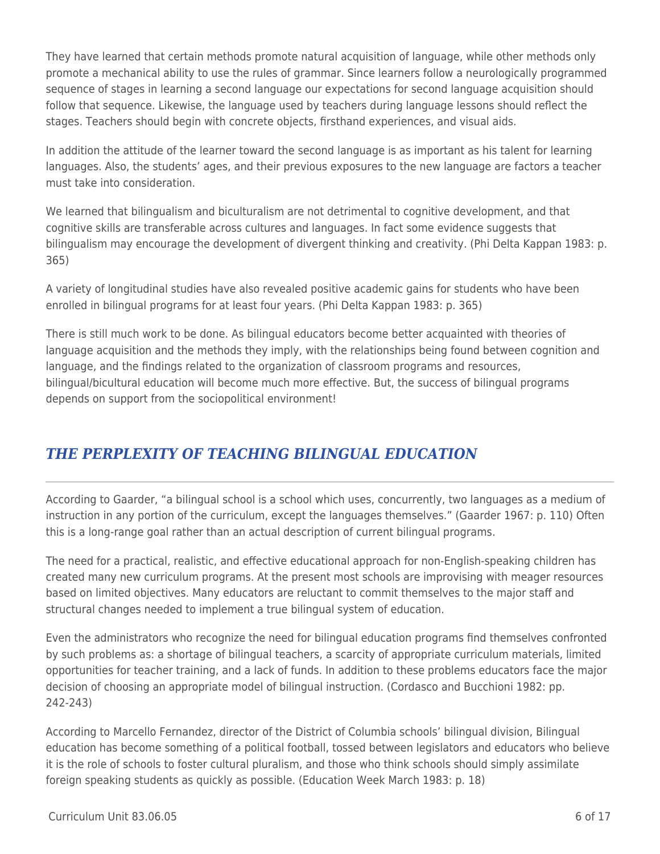They have learned that certain methods promote natural acquisition of language, while other methods only promote a mechanical ability to use the rules of grammar. Since learners follow a neurologically programmed sequence of stages in learning a second language our expectations for second language acquisition should follow that sequence. Likewise, the language used by teachers during language lessons should reflect the stages. Teachers should begin with concrete objects, firsthand experiences, and visual aids.

In addition the attitude of the learner toward the second language is as important as his talent for learning languages. Also, the students' ages, and their previous exposures to the new language are factors a teacher must take into consideration.

We learned that bilingualism and biculturalism are not detrimental to cognitive development, and that cognitive skills are transferable across cultures and languages. In fact some evidence suggests that bilingualism may encourage the development of divergent thinking and creativity. (Phi Delta Kappan 1983: p. 365)

A variety of longitudinal studies have also revealed positive academic gains for students who have been enrolled in bilingual programs for at least four years. (Phi Delta Kappan 1983: p. 365)

There is still much work to be done. As bilingual educators become better acquainted with theories of language acquisition and the methods they imply, with the relationships being found between cognition and language, and the findings related to the organization of classroom programs and resources, bilingual/bicultural education will become much more effective. But, the success of bilingual programs depends on support from the sociopolitical environment!

# *THE PERPLEXITY OF TEACHING BILINGUAL EDUCATION*

According to Gaarder, "a bilingual school is a school which uses, concurrently, two languages as a medium of instruction in any portion of the curriculum, except the languages themselves." (Gaarder 1967: p. 110) Often this is a long-range goal rather than an actual description of current bilingual programs.

The need for a practical, realistic, and effective educational approach for non-English-speaking children has created many new curriculum programs. At the present most schools are improvising with meager resources based on limited objectives. Many educators are reluctant to commit themselves to the major staff and structural changes needed to implement a true bilingual system of education.

Even the administrators who recognize the need for bilingual education programs find themselves confronted by such problems as: a shortage of bilingual teachers, a scarcity of appropriate curriculum materials, limited opportunities for teacher training, and a lack of funds. In addition to these problems educators face the major decision of choosing an appropriate model of bilingual instruction. (Cordasco and Bucchioni 1982: pp. 242-243)

According to Marcello Fernandez, director of the District of Columbia schools' bilingual division, Bilingual education has become something of a political football, tossed between legislators and educators who believe it is the role of schools to foster cultural pluralism, and those who think schools should simply assimilate foreign speaking students as quickly as possible. (Education Week March 1983: p. 18)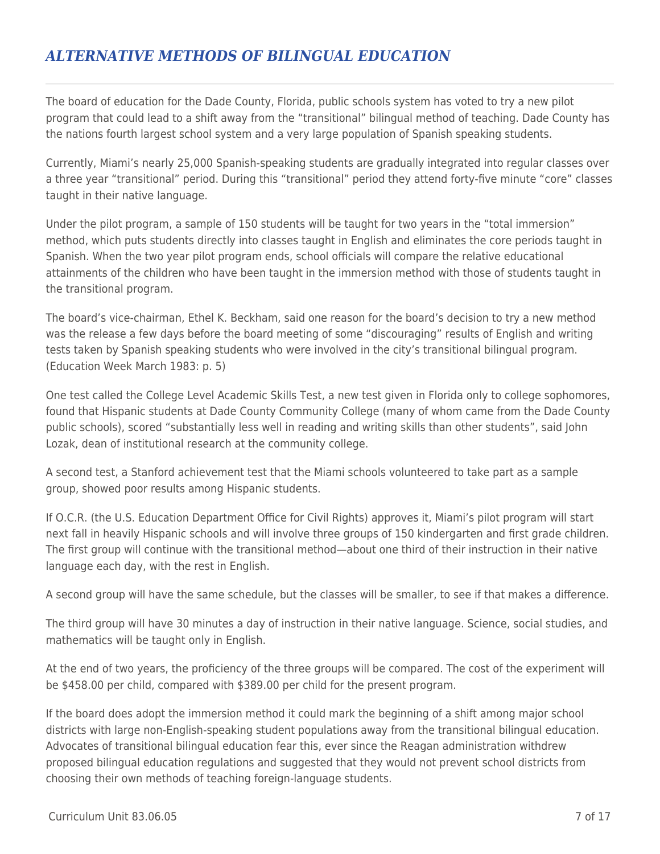# *ALTERNATIVE METHODS OF BILINGUAL EDUCATION*

The board of education for the Dade County, Florida, public schools system has voted to try a new pilot program that could lead to a shift away from the "transitional" bilingual method of teaching. Dade County has the nations fourth largest school system and a very large population of Spanish speaking students.

Currently, Miami's nearly 25,000 Spanish-speaking students are gradually integrated into regular classes over a three year "transitional" period. During this "transitional" period they attend forty-five minute "core" classes taught in their native language.

Under the pilot program, a sample of 150 students will be taught for two years in the "total immersion" method, which puts students directly into classes taught in English and eliminates the core periods taught in Spanish. When the two year pilot program ends, school officials will compare the relative educational attainments of the children who have been taught in the immersion method with those of students taught in the transitional program.

The board's vice-chairman, Ethel K. Beckham, said one reason for the board's decision to try a new method was the release a few days before the board meeting of some "discouraging" results of English and writing tests taken by Spanish speaking students who were involved in the city's transitional bilingual program. (Education Week March 1983: p. 5)

One test called the College Level Academic Skills Test, a new test given in Florida only to college sophomores, found that Hispanic students at Dade County Community College (many of whom came from the Dade County public schools), scored "substantially less well in reading and writing skills than other students", said John Lozak, dean of institutional research at the community college.

A second test, a Stanford achievement test that the Miami schools volunteered to take part as a sample group, showed poor results among Hispanic students.

If O.C.R. (the U.S. Education Department Office for Civil Rights) approves it, Miami's pilot program will start next fall in heavily Hispanic schools and will involve three groups of 150 kindergarten and first grade children. The first group will continue with the transitional method—about one third of their instruction in their native language each day, with the rest in English.

A second group will have the same schedule, but the classes will be smaller, to see if that makes a difference.

The third group will have 30 minutes a day of instruction in their native language. Science, social studies, and mathematics will be taught only in English.

At the end of two years, the proficiency of the three groups will be compared. The cost of the experiment will be \$458.00 per child, compared with \$389.00 per child for the present program.

If the board does adopt the immersion method it could mark the beginning of a shift among major school districts with large non-English-speaking student populations away from the transitional bilingual education. Advocates of transitional bilingual education fear this, ever since the Reagan administration withdrew proposed bilingual education regulations and suggested that they would not prevent school districts from choosing their own methods of teaching foreign-language students.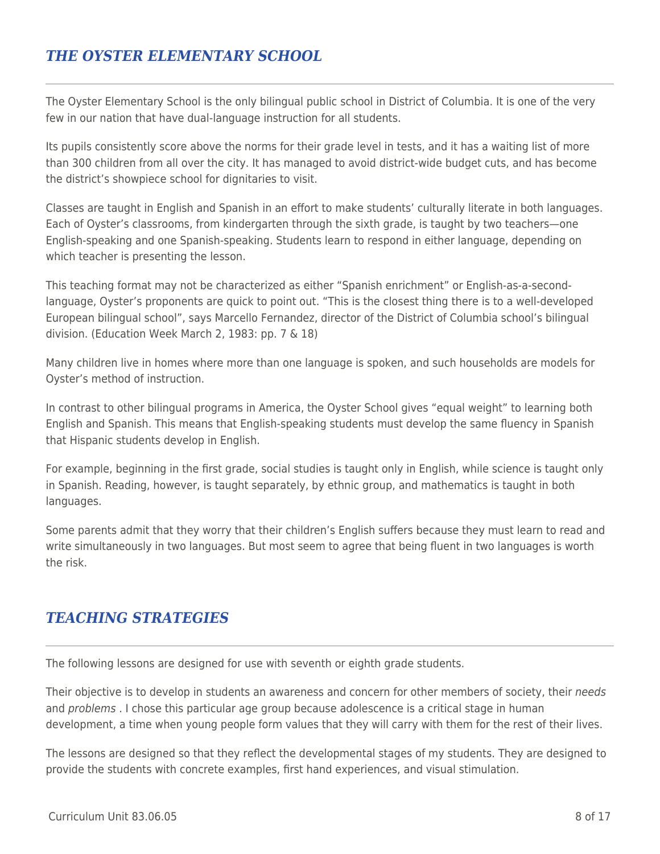## *THE OYSTER ELEMENTARY SCHOOL*

The Oyster Elementary School is the only bilingual public school in District of Columbia. It is one of the very few in our nation that have dual-language instruction for all students.

Its pupils consistently score above the norms for their grade level in tests, and it has a waiting list of more than 300 children from all over the city. It has managed to avoid district-wide budget cuts, and has become the district's showpiece school for dignitaries to visit.

Classes are taught in English and Spanish in an effort to make students' culturally literate in both languages. Each of Oyster's classrooms, from kindergarten through the sixth grade, is taught by two teachers—one English-speaking and one Spanish-speaking. Students learn to respond in either language, depending on which teacher is presenting the lesson.

This teaching format may not be characterized as either "Spanish enrichment" or English-as-a-secondlanguage, Oyster's proponents are quick to point out. "This is the closest thing there is to a well-developed European bilingual school", says Marcello Fernandez, director of the District of Columbia school's bilingual division. (Education Week March 2, 1983: pp. 7 & 18)

Many children live in homes where more than one language is spoken, and such households are models for Oyster's method of instruction.

In contrast to other bilingual programs in America, the Oyster School gives "equal weight" to learning both English and Spanish. This means that English-speaking students must develop the same fluency in Spanish that Hispanic students develop in English.

For example, beginning in the first grade, social studies is taught only in English, while science is taught only in Spanish. Reading, however, is taught separately, by ethnic group, and mathematics is taught in both languages.

Some parents admit that they worry that their children's English suffers because they must learn to read and write simultaneously in two languages. But most seem to agree that being fluent in two languages is worth the risk.

# *TEACHING STRATEGIES*

The following lessons are designed for use with seventh or eighth grade students.

Their objective is to develop in students an awareness and concern for other members of society, their needs and *problems*. I chose this particular age group because adolescence is a critical stage in human development, a time when young people form values that they will carry with them for the rest of their lives.

The lessons are designed so that they reflect the developmental stages of my students. They are designed to provide the students with concrete examples, first hand experiences, and visual stimulation.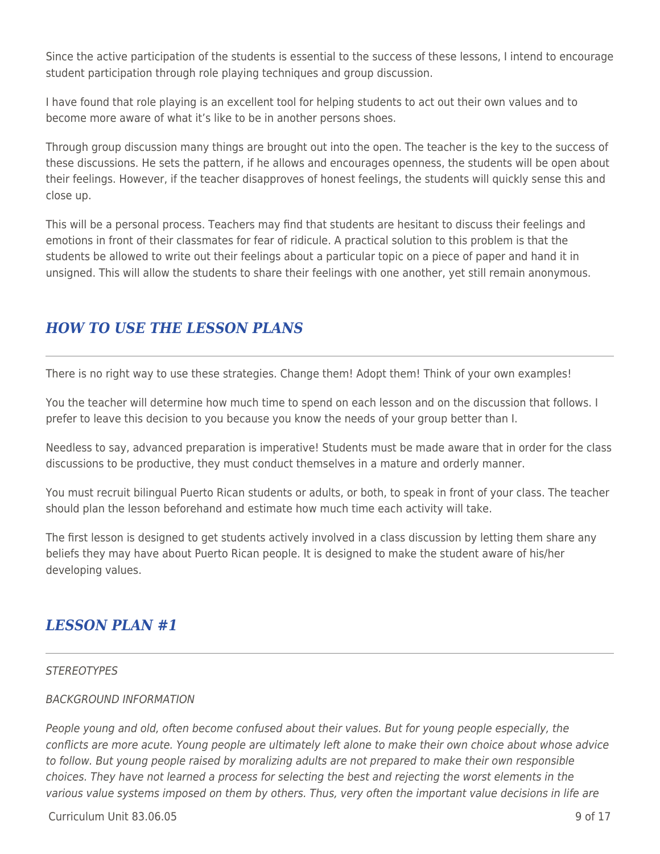Since the active participation of the students is essential to the success of these lessons, I intend to encourage student participation through role playing techniques and group discussion.

I have found that role playing is an excellent tool for helping students to act out their own values and to become more aware of what it's like to be in another persons shoes.

Through group discussion many things are brought out into the open. The teacher is the key to the success of these discussions. He sets the pattern, if he allows and encourages openness, the students will be open about their feelings. However, if the teacher disapproves of honest feelings, the students will quickly sense this and close up.

This will be a personal process. Teachers may find that students are hesitant to discuss their feelings and emotions in front of their classmates for fear of ridicule. A practical solution to this problem is that the students be allowed to write out their feelings about a particular topic on a piece of paper and hand it in unsigned. This will allow the students to share their feelings with one another, yet still remain anonymous.

# *HOW TO USE THE LESSON PLANS*

There is no right way to use these strategies. Change them! Adopt them! Think of your own examples!

You the teacher will determine how much time to spend on each lesson and on the discussion that follows. I prefer to leave this decision to you because you know the needs of your group better than I.

Needless to say, advanced preparation is imperative! Students must be made aware that in order for the class discussions to be productive, they must conduct themselves in a mature and orderly manner.

You must recruit bilingual Puerto Rican students or adults, or both, to speak in front of your class. The teacher should plan the lesson beforehand and estimate how much time each activity will take.

The first lesson is designed to get students actively involved in a class discussion by letting them share any beliefs they may have about Puerto Rican people. It is designed to make the student aware of his/her developing values.

# *LESSON PLAN #1*

### **STEREOTYPES**

### BACKGROUND INFORMATION

People young and old, often become confused about their values. But for young people especially, the conflicts are more acute. Young people are ultimately left alone to make their own choice about whose advice to follow. But young people raised by moralizing adults are not prepared to make their own responsible choices. They have not learned a process for selecting the best and rejecting the worst elements in the various value systems imposed on them by others. Thus, very often the important value decisions in life are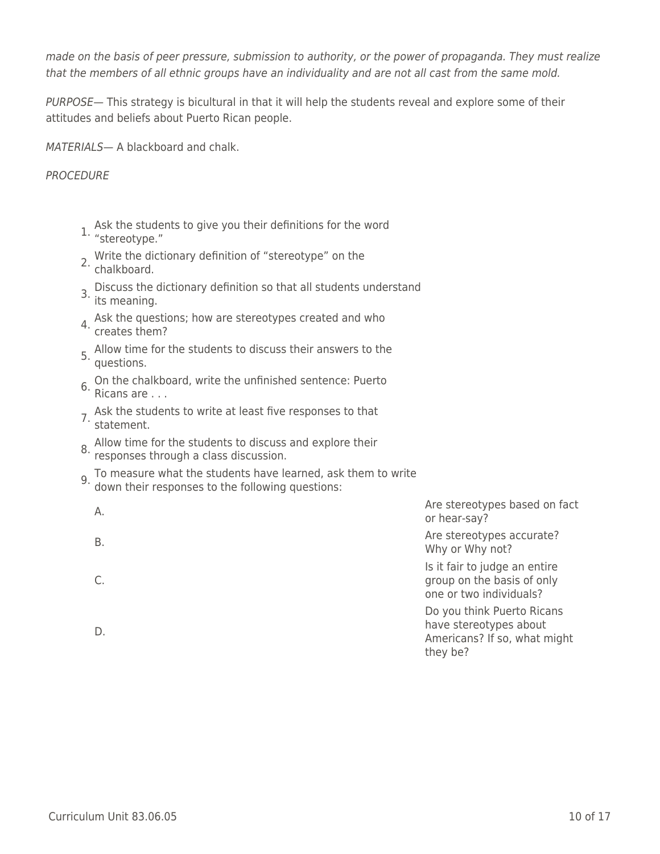made on the basis of peer pressure, submission to authority, or the power of propaganda. They must realize that the members of all ethnic groups have an individuality and are not all cast from the same mold.

PURPOSE— This strategy is bicultural in that it will help the students reveal and explore some of their attitudes and beliefs about Puerto Rican people.

MATERIALS— A blackboard and chalk.

**PROCEDURE** 

- 1. Ask the students to give you their definitions for the word "stereotype."
- 
- 2. Write the dictionary definition of "stereotype" on the chalkboard.
- 3. Discuss the dictionary definition so that all students understand its meaning.
- 4. Ask the questions; how are stereotypes created and who creates them?
- 5. Allow time for the students to discuss their answers to the questions.
- 6. On the chalkboard, write the unfinished sentence: Puerto Ricans are . . .
- 7. Ask the students to write at least five responses to that statement.
- 8. Allow time for the students to discuss and explore their responses through a class discussion.
- 9. To measure what the students have learned, ask them to write down their responses to the following questions:
- 

| А.            | Are stereotypes based on fact<br>or hear-say?                                                    |
|---------------|--------------------------------------------------------------------------------------------------|
| Β.            | Are stereotypes accurate?<br>Why or Why not?                                                     |
| $\mathsf{C}.$ | Is it fair to judge an entire<br>group on the basis of only<br>one or two individuals?           |
| D.            | Do you think Puerto Ricans<br>have stereotypes about<br>Americans? If so, what might<br>they be? |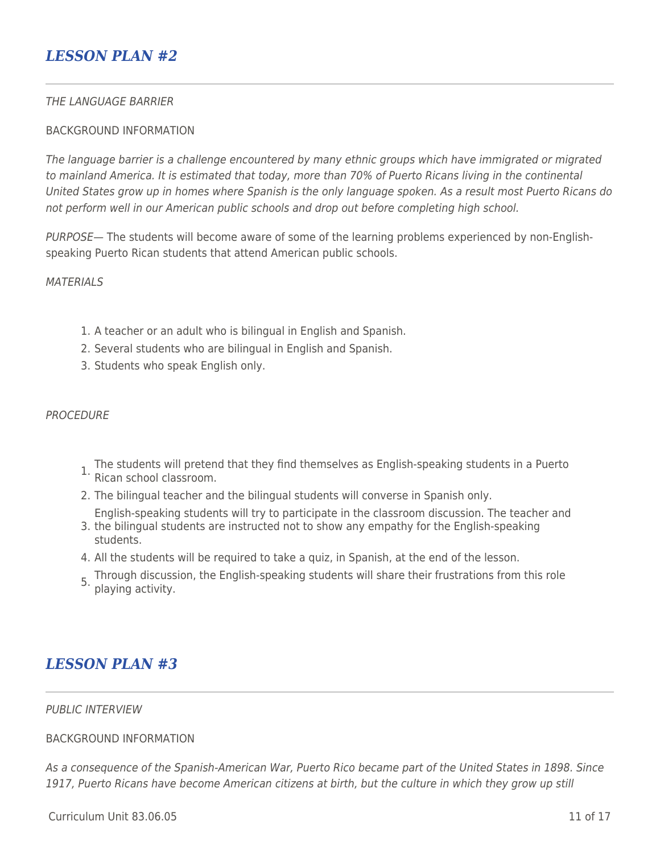## *LESSON PLAN #2*

#### THE LANGUAGE BARRIER

#### BACKGROUND INFORMATION

The language barrier is a challenge encountered by many ethnic groups which have immigrated or migrated to mainland America. It is estimated that today, more than 70% of Puerto Ricans living in the continental United States grow up in homes where Spanish is the only language spoken. As a result most Puerto Ricans do not perform well in our American public schools and drop out before completing high school.

PURPOSE— The students will become aware of some of the learning problems experienced by non-Englishspeaking Puerto Rican students that attend American public schools.

**MATERIALS** 

- 1. A teacher or an adult who is bilingual in English and Spanish.
- 2. Several students who are bilingual in English and Spanish.
- 3. Students who speak English only.

#### **PROCEDURE**

- 1. The students will pretend that they find themselves as English-speaking students in a Puerto 1. Rican school classroom.
- 2. The bilingual teacher and the bilingual students will converse in Spanish only. English-speaking students will try to participate in the classroom discussion. The teacher and
- 3. the bilingual students are instructed not to show any empathy for the English-speaking students.
- 4. All the students will be required to take a quiz, in Spanish, at the end of the lesson.
- 5. Through discussion, the English-speaking students will share their frustrations from this role playing activity.

## *LESSON PLAN #3*

#### PUBLIC INTERVIEW

#### BACKGROUND INFORMATION

As a consequence of the Spanish-American War, Puerto Rico became part of the United States in 1898. Since 1917, Puerto Ricans have become American citizens at birth, but the culture in which they grow up still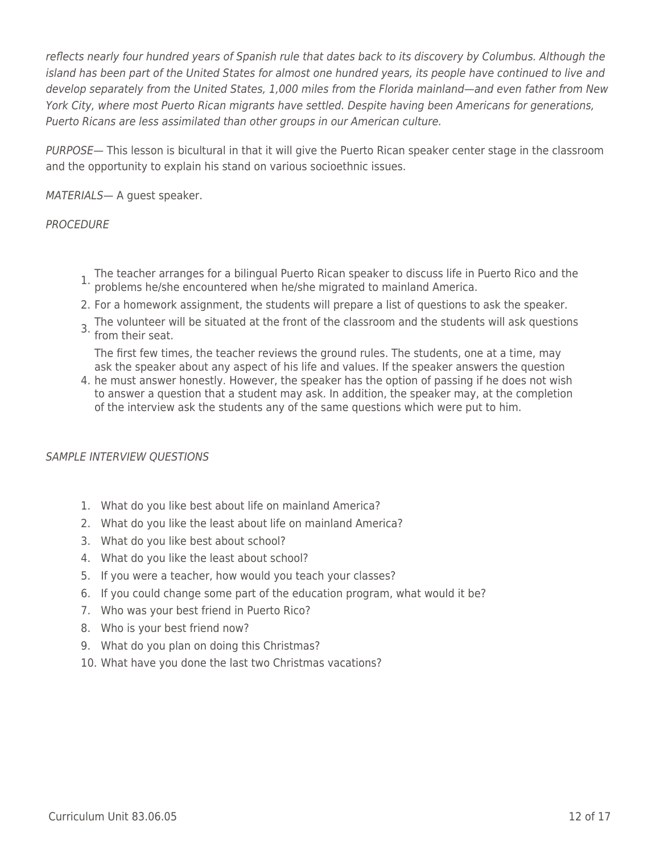reflects nearly four hundred years of Spanish rule that dates back to its discovery by Columbus. Although the island has been part of the United States for almost one hundred years, its people have continued to live and develop separately from the United States, 1,000 miles from the Florida mainland—and even father from New York City, where most Puerto Rican migrants have settled. Despite having been Americans for generations, Puerto Ricans are less assimilated than other groups in our American culture.

PURPOSE— This lesson is bicultural in that it will give the Puerto Rican speaker center stage in the classroom and the opportunity to explain his stand on various socioethnic issues.

MATERIALS— A guest speaker.

#### PROCEDURE

- 1. The teacher arranges for a bilingual Puerto Rican speaker to discuss life in Puerto Rico and the problems he/she encountered when he/she migrated to mainland America.
- 2. For a homework assignment, the students will prepare a list of questions to ask the speaker.
- The volunteer will be situated at the front of the classroom and the students will ask questions  $3.$  from their seat.

The first few times, the teacher reviews the ground rules. The students, one at a time, may ask the speaker about any aspect of his life and values. If the speaker answers the question

4. he must answer honestly. However, the speaker has the option of passing if he does not wish to answer a question that a student may ask. In addition, the speaker may, at the completion of the interview ask the students any of the same questions which were put to him.

#### SAMPLE INTERVIEW QUESTIONS

- 1. What do you like best about life on mainland America?
- 2. What do you like the least about life on mainland America?
- 3. What do you like best about school?
- 4. What do you like the least about school?
- 5. If you were a teacher, how would you teach your classes?
- 6. If you could change some part of the education program, what would it be?
- 7. Who was your best friend in Puerto Rico?
- 8. Who is your best friend now?
- 9. What do you plan on doing this Christmas?
- 10. What have you done the last two Christmas vacations?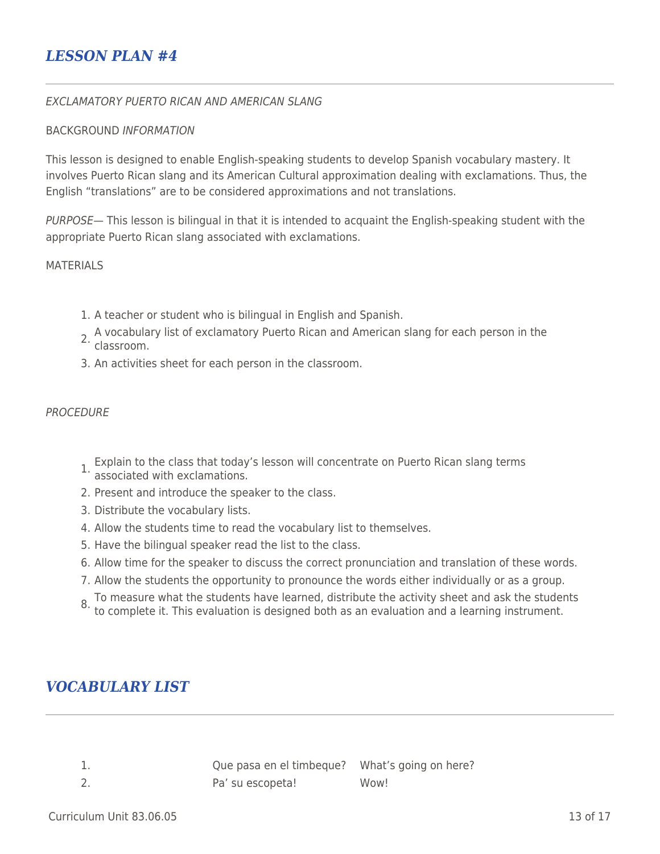## *LESSON PLAN #4*

#### EXCLAMATORY PUERTO RICAN AND AMERICAN SLANG

#### BACKGROUND INFORMATION

This lesson is designed to enable English-speaking students to develop Spanish vocabulary mastery. It involves Puerto Rican slang and its American Cultural approximation dealing with exclamations. Thus, the English "translations" are to be considered approximations and not translations.

PURPOSE— This lesson is bilingual in that it is intended to acquaint the English-speaking student with the appropriate Puerto Rican slang associated with exclamations.

#### MATERIALS

- 1. A teacher or student who is bilingual in English and Spanish.
- 2. A vocabulary list of exclamatory Puerto Rican and American slang for each person in the classroom.
- 3. An activities sheet for each person in the classroom.

#### **PROCEDURE**

- 1. Explain to the class that today's lesson will concentrate on Puerto Rican slang terms associated with exclamations.
- 2. Present and introduce the speaker to the class.
- 3. Distribute the vocabulary lists.
- 4. Allow the students time to read the vocabulary list to themselves.
- 5. Have the bilingual speaker read the list to the class.
- 6. Allow time for the speaker to discuss the correct pronunciation and translation of these words.
- 7. Allow the students the opportunity to pronounce the words either individually or as a group.
- 8. To measure what the students have learned, distribute the activity sheet and ask the students<br>8. to complete it. This evaluation is designed both as an evaluation and a learning instrument.

## *VOCABULARY LIST*

| Que pasa en el timbeque? What's going on here? |      |
|------------------------------------------------|------|
| Pa' su escopeta!                               | Wow! |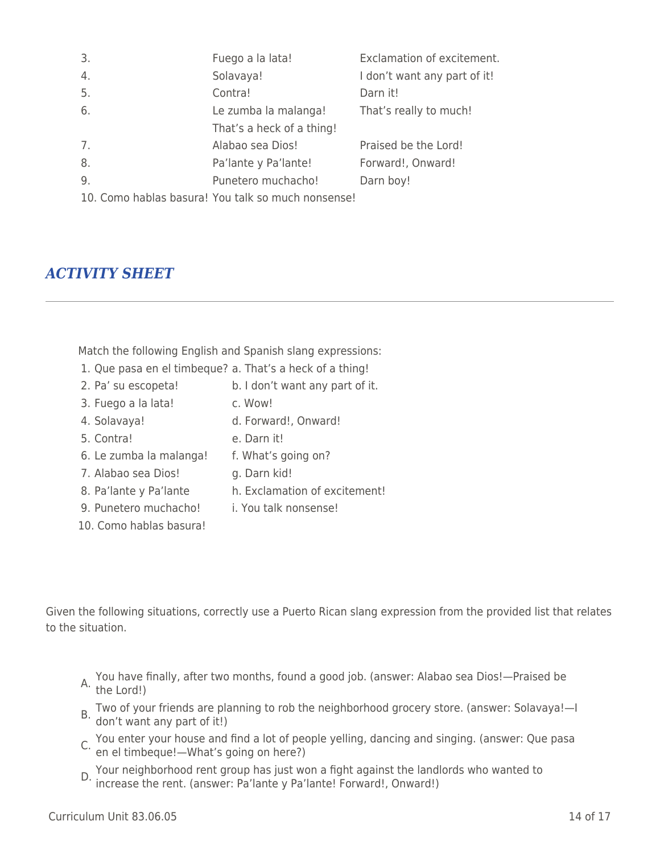| 3. | Fuego a la lata!                                   | Exclamation of excitement.   |
|----|----------------------------------------------------|------------------------------|
| 4. | Solavaya!                                          | I don't want any part of it! |
| 5. | Contra!                                            | Darn it!                     |
| 6. | Le zumba la malanga!                               | That's really to much!       |
|    | That's a heck of a thing!                          |                              |
| 7. | Alabao sea Dios!                                   | Praised be the Lord!         |
| 8. | Pa'lante y Pa'lante!                               | Forward!, Onward!            |
| 9. | Punetero muchacho!                                 | Darn boy!                    |
|    | 10. Como hablas basura! You talk so much nonsense! |                              |

# *ACTIVITY SHEET*

Match the following English and Spanish slang expressions:

- 1. Que pasa en el timbeque? a. That's a heck of a thing!
- 2. Pa' su escopeta! b. I don't want any part of it.
- 3. Fuego a la lata! c. Wow!
- 4. Solavaya! d. Forward!, Onward!
- 5. Contra! e. Darn it!
- 6. Le zumba la malanga! f. What's going on?
- 7. Alabao sea Dios! g. Darn kid!
- 8. Pa'lante y Pa'lante h. Exclamation of excitement!
- 9. Punetero muchacho! i. You talk nonsense!
- 10. Como hablas basura!

Given the following situations, correctly use a Puerto Rican slang expression from the provided list that relates to the situation.

- A. You have finally, after two months, found a good job. (answer: Alabao sea Dios!—Praised be<br><sup>A.</sup> the Lord!)
- Two of your friends are planning to rob the neighborhood grocery store. (answer: Solavaya!—I B. I wo or your medicing
- C. You enter your house and find a lot of people yelling, dancing and singing. (answer: Que pasa en el timbeque!—What's going on here?)
- Your neighborhood rent group has just won a fight against the landlords who wanted to D. Tour rieignborrood rent group has just normalized by the rent. (answer: Pa'lante y Pa'lante! Forward!, Onward!)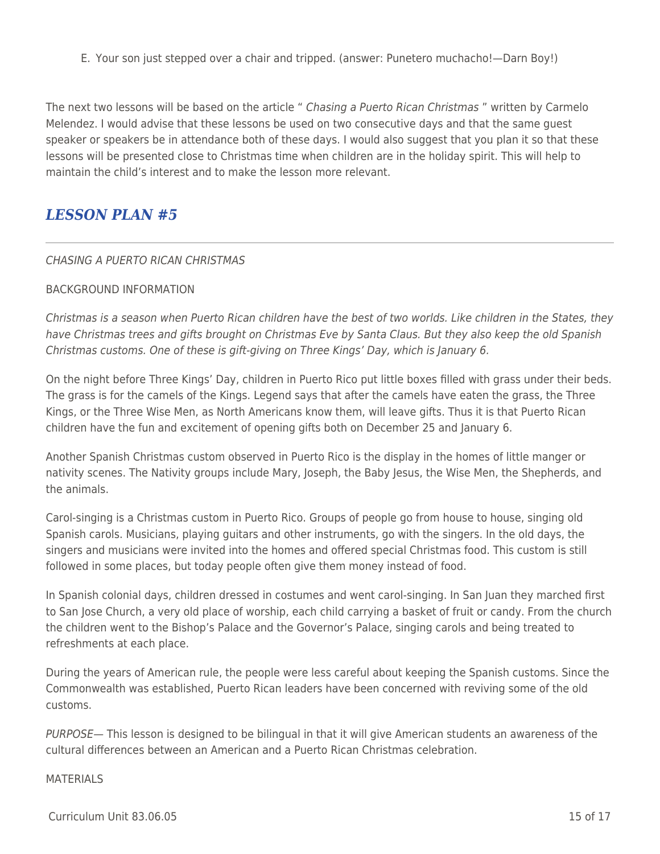E. Your son just stepped over a chair and tripped. (answer: Punetero muchacho!—Darn Boy!)

The next two lessons will be based on the article " Chasing a Puerto Rican Christmas " written by Carmelo Melendez. I would advise that these lessons be used on two consecutive days and that the same guest speaker or speakers be in attendance both of these days. I would also suggest that you plan it so that these lessons will be presented close to Christmas time when children are in the holiday spirit. This will help to maintain the child's interest and to make the lesson more relevant.

# *LESSON PLAN #5*

### CHASING A PUERTO RICAN CHRISTMAS

#### BACKGROUND INFORMATION

Christmas is a season when Puerto Rican children have the best of two worlds. Like children in the States, they have Christmas trees and gifts brought on Christmas Eve by Santa Claus. But they also keep the old Spanish Christmas customs. One of these is gift-giving on Three Kings' Day, which is January 6.

On the night before Three Kings' Day, children in Puerto Rico put little boxes filled with grass under their beds. The grass is for the camels of the Kings. Legend says that after the camels have eaten the grass, the Three Kings, or the Three Wise Men, as North Americans know them, will leave gifts. Thus it is that Puerto Rican children have the fun and excitement of opening gifts both on December 25 and January 6.

Another Spanish Christmas custom observed in Puerto Rico is the display in the homes of little manger or nativity scenes. The Nativity groups include Mary, Joseph, the Baby Jesus, the Wise Men, the Shepherds, and the animals.

Carol-singing is a Christmas custom in Puerto Rico. Groups of people go from house to house, singing old Spanish carols. Musicians, playing guitars and other instruments, go with the singers. In the old days, the singers and musicians were invited into the homes and offered special Christmas food. This custom is still followed in some places, but today people often give them money instead of food.

In Spanish colonial days, children dressed in costumes and went carol-singing. In San Juan they marched first to San Jose Church, a very old place of worship, each child carrying a basket of fruit or candy. From the church the children went to the Bishop's Palace and the Governor's Palace, singing carols and being treated to refreshments at each place.

During the years of American rule, the people were less careful about keeping the Spanish customs. Since the Commonwealth was established, Puerto Rican leaders have been concerned with reviving some of the old customs.

PURPOSE— This lesson is designed to be bilingual in that it will give American students an awareness of the cultural differences between an American and a Puerto Rican Christmas celebration.

#### MATERIALS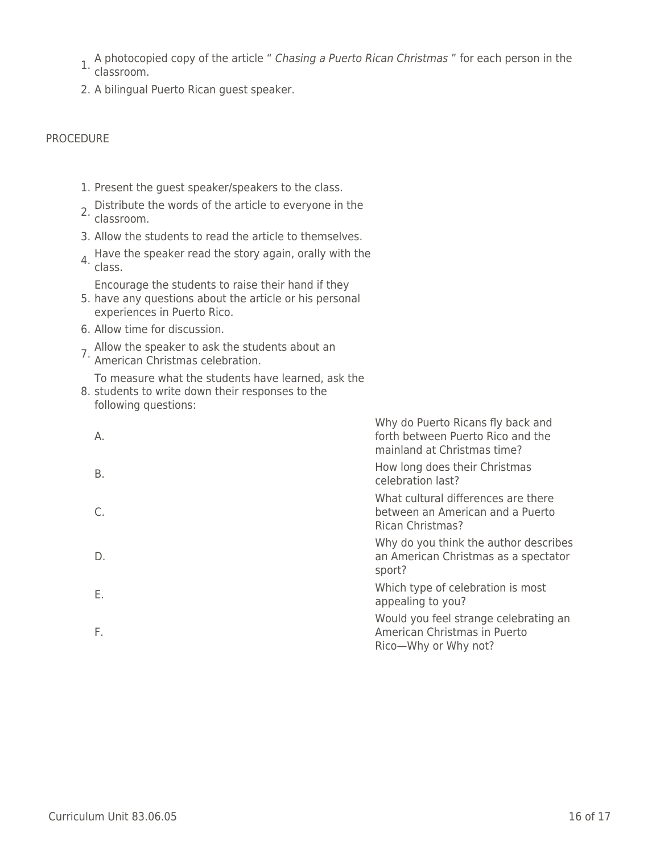- 1. A photocopied copy of the article " *Chasing a Puerto Rican Christmas* " for each person in the classroom.
- 2. A bilingual Puerto Rican guest speaker.

#### PROCEDURE

- 1. Present the guest speaker/speakers to the class.
- 2. Distribute the words of the article to everyone in the classroom.
- 3. Allow the students to read the article to themselves.
- 4. Have the speaker read the story again, orally with the class.

5. have any questions about the article or his personal Encourage the students to raise their hand if they

- experiences in Puerto Rico.
- 6. Allow time for discussion.
- 7. Allow the speaker to ask the students about an American Christmas celebration.

To measure what the students have learned, ask the

8. students to write down their responses to the following questions:

| Why do Puerto Ricans fly back and<br>forth between Puerto Rico and the<br>mainland at Christmas time? |
|-------------------------------------------------------------------------------------------------------|
| How long does their Christmas<br>celebration last?                                                    |
| What cultural differences are there<br>between an American and a Puerto<br><b>Rican Christmas?</b>    |
| Why do you think the author describes<br>an American Christmas as a spectator<br>sport?               |
| Which type of celebration is most<br>appealing to you?                                                |
| Would you feel strange celebrating an<br>American Christmas in Puerto<br>Rico-Why or Why not?         |
|                                                                                                       |